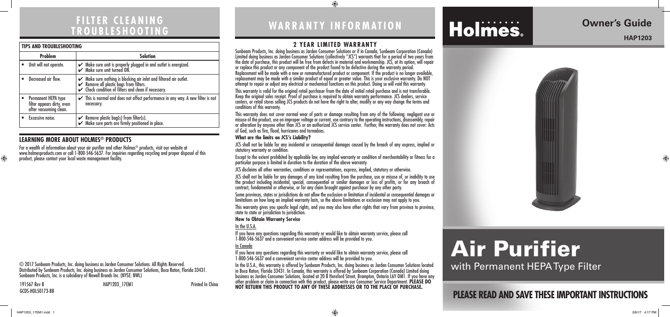### **FILTER CLEANING TROUBLESHOOTING**

#### **2 YEAR LIMITED WARRANTY**

Sunbeam Products, Inc. doing business as Jarden Consumer Solutions or if in Canada, Sunbeam Corporation (Canada) Limited doing business as Jarden Consumer Solutions (collectively "JCS") warrants that for a period of two years from the date of purchase, this product will be free from defects in material and workmanship. JCS, at its option, will repair or replace this product or any component of the product found to be defective during the warranty period. Replacement will be made with a new or remanufactured product or component. If the product is no longer available, replacement may be made with a similar product of equal or greater value. This is your exclusive warranty. Do NOT attempt to repair or adjust any electrical or mechanical functions on this product. Doing so will void this warranty.

This warranty is valid for the original retail purchaser from the date of initial retail purchase and is not transferable. Keep the original sales receipt. Proof of purchase is required to obtain warranty performance. JCS dealers, service centers, or retail stores selling JCS products do not have the right to alter, modify or any way change the terms and conditions of this warranty.

This warranty does not cover normal wear of parts or damage resulting from any of the following: negligent use or misuse of the product, use on improper voltage or current, use contrary to the operating instructions, disassembly, repair or alteration by anyone other than JCS or an authorized JCS service center. Further, the warranty does not cover: Acts of God, such as fire, flood, hurricanes and tornadoes.

#### **What are the limits on JCS's Liability?**

JCS shall not be liable for any incidental or consequential damages caused by the breach of any express, implied or statutory warranty or condition.

Except to the extent prohibited by applicable law, any implied warranty or condition of merchantability or fitness for a particular purpose is limited in duration to the duration of the above warranty.

191567 Rev B **HAP1203** 17EM1 **Printed In China** GCDS-HOL50173-BB

⊕

JCS disclaims all other warranties, conditions or representations, express, implied, statutory or otherwise.

For a wealth of information about your air purifier and other Holmes® products, visit our website at www.holmesproducts.com or call 1-800-546-5637. For inquiries regarding recycling and proper disposal of this product, please contact your local waste management facility.

> JCS shall not be liable for any damages of any kind resulting from the purchase, use or misuse of, or inability to use the product including incidental, special, consequential or similar damages or loss of profits, or for any breach of contract, fundamental or otherwise, or for any claim brought against purchaser by any other party.

> Some provinces, states or jurisdictions do not allow the exclusion or limitation of incidental or consequential damages or limitations on how long an implied warranty lasts, so the above limitations or exclusion may not apply to you.

> This warranty gives you specific legal rights, and you may also have other rights that vary from province to province, state to state or jurisdiction to jurisdiction.

#### **How to Obtain Warranty Service**

#### In the U.S.A.

If you have any questions regarding this warranty or would like to obtain warranty service, please call 1-800-546-5637 and a convenient service center address will be provided to you.

#### In Canada

If you have any questions regarding this warranty or would like to obtain warranty service, please call 1-800-546-5637 and a convenient service center address will be provided to you.

In the U.S.A., this warranty is offered by Sunbeam Products, Inc. doing business as Jarden Consumer Solutions located in Boca Raton, Florida 33431. In Canada, this warranty is offered by Sunbeam Corporation (Canada) Limited doing business as Jarden Consumer Solutions, located at 20 B Hereford Street, Brampton, Ontario L6Y OM1. If you have any other problem or claim in connection with this product, please write our Consumer Service Department. **PLEASE DO NOT RETURN THIS PRODUCT TO ANY OF THESE ADDRESSES OR TO THE PLACE OF PURCHASE.** 

## **WARRANTY INFORMATION**

 $\bigoplus$ 

# **Holmes**

## **PLEASE READ AND SAVE THESE IMPORTANT INSTRUCTIONS**

### **Owner's Guide**

#### **HAP1203**

⊕



# Air Purifier with Permanent HEPA Type Filter

© 2017 Sunbeam Products, Inc. doing business as Jarden Consumer Solutions. All Rights Reserved. Distributed by Sunbeam Products, Inc. doing business as Jarden Consumer Solutions, Boca Raton, Florida 33431. Sunbeam Products, Inc. is a subsidiary of Newell Brands Inc. (NYSE: NWL)

#### **LEARNING MORE ABOUT HOLMES® PRODUCTS**

| <b>TIPS AND TROUBLESHOOTING</b>                                             |                                                                                                                                                                       |
|-----------------------------------------------------------------------------|-----------------------------------------------------------------------------------------------------------------------------------------------------------------------|
| <b>Problem</b>                                                              | <b>Solution</b>                                                                                                                                                       |
| Unit will not operate.                                                      | $\smash{\checkmark}$ Make sure unit is properly plugged in and outlet is energized.<br>$\smash{\checkmark}$ Make sure unit turned ON.                                 |
| Decreased air flow.                                                         | ► Make sure nothing is blocking air inlet and filtered air outlet.<br>► Remove all plastic bags from filters.<br>► Check condition of filters and clean if necessary. |
| Permanent HEPA type<br>filter appears dirty, even<br>after vacuuming clean. | $\checkmark$ This is normal and does not affect performance in any way. A new filter is not<br>necessary.                                                             |
| Excessive noise.                                                            | Remove plastic bag(s) from filter(s).<br>$\checkmark$ Make sure parts are firmly positioned in place.                                                                 |